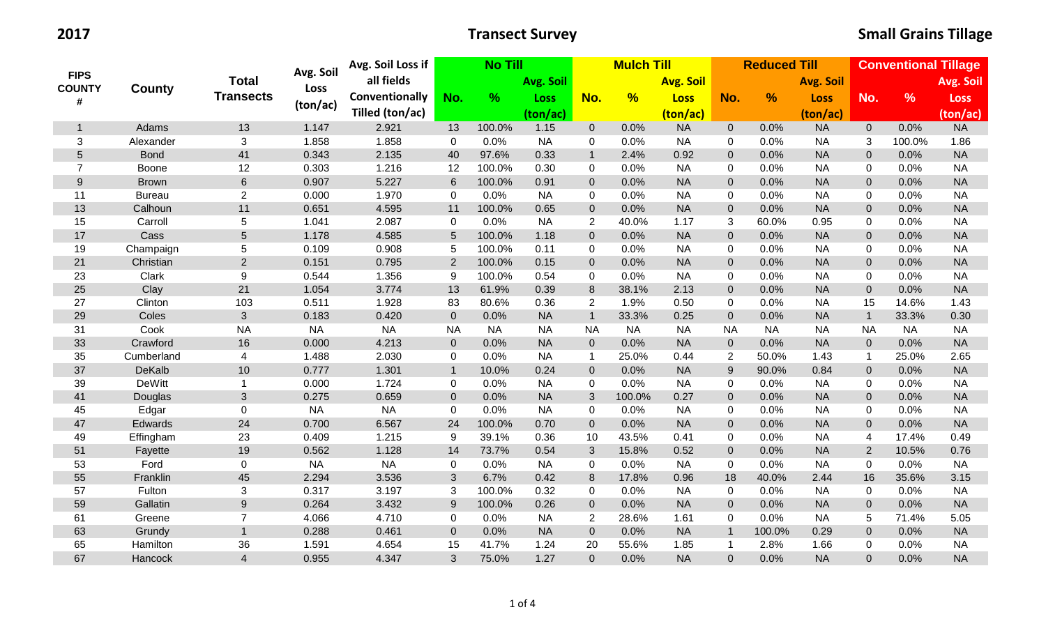| <b>FIPS</b><br><b>COUNTY</b><br># | <b>County</b> | <b>Total</b>     | Avg. Soil | Avg. Soil Loss if | <b>No Till</b> |           | <b>Mulch Till</b> |                      |               |                  | <b>Reduced Till</b> |               | <b>Conventional Tillage</b> |                |               |             |
|-----------------------------------|---------------|------------------|-----------|-------------------|----------------|-----------|-------------------|----------------------|---------------|------------------|---------------------|---------------|-----------------------------|----------------|---------------|-------------|
|                                   |               |                  |           | all fields        |                |           | Avg. Soil         |                      |               | <b>Avg. Soil</b> |                     |               | <b>Avg. Soil</b>            |                |               | Avg. Soil   |
|                                   |               | <b>Transects</b> | Loss      | Conventionally    | No.            | $\%$      | Loss              | No.                  | $\frac{9}{6}$ | <b>Loss</b>      | No.                 | $\frac{9}{6}$ | <b>Loss</b>                 | No.            | $\frac{9}{6}$ | <b>Loss</b> |
|                                   |               |                  | (ton/ac)  | Tilled (ton/ac)   |                |           | (ton/ac)          |                      |               | (ton/ac)         |                     |               | (ton/ac)                    |                |               | (ton/ac)    |
| $\mathbf{1}$                      | Adams         | 13               | 1.147     | 2.921             | 13             | 100.0%    | 1.15              | $\overline{0}$       | 0.0%          | <b>NA</b>        | $\overline{0}$      | 0.0%          | <b>NA</b>                   | $\overline{0}$ | 0.0%          | <b>NA</b>   |
| 3                                 | Alexander     | 3                | 1.858     | 1.858             | $\mathbf 0$    | 0.0%      | <b>NA</b>         | $\Omega$             | 0.0%          | <b>NA</b>        | $\mathbf 0$         | 0.0%          | <b>NA</b>                   | 3              | 100.0%        | 1.86        |
| 5                                 | <b>Bond</b>   | 41               | 0.343     | 2.135             | 40             | 97.6%     | 0.33              | $\overline{1}$       | 2.4%          | 0.92             | $\overline{0}$      | 0.0%          | <b>NA</b>                   | $\overline{0}$ | 0.0%          | <b>NA</b>   |
| $\overline{7}$                    | Boone         | 12               | 0.303     | 1.216             | 12             | 100.0%    | 0.30              | 0                    | 0.0%          | <b>NA</b>        | 0                   | 0.0%          | <b>NA</b>                   | 0              | 0.0%          | <b>NA</b>   |
| 9                                 | <b>Brown</b>  | $6\phantom{a}$   | 0.907     | 5.227             | 6              | 100.0%    | 0.91              | $\mathbf{0}$         | 0.0%          | <b>NA</b>        | $\mathbf 0$         | 0.0%          | <b>NA</b>                   | $\overline{0}$ | 0.0%          | <b>NA</b>   |
| 11                                | <b>Bureau</b> | $\overline{2}$   | 0.000     | 1.970             | $\mathbf 0$    | 0.0%      | <b>NA</b>         | 0                    | 0.0%          | <b>NA</b>        | $\mathbf 0$         | 0.0%          | <b>NA</b>                   | 0              | 0.0%          | <b>NA</b>   |
| 13                                | Calhoun       | 11               | 0.651     | 4.595             | 11             | 100.0%    | 0.65              | $\overline{0}$       | 0.0%          | <b>NA</b>        | $\mathbf 0$         | 0.0%          | <b>NA</b>                   | $\mathbf{0}$   | 0.0%          | <b>NA</b>   |
| 15                                | Carroll       | 5                | 1.041     | 2.087             | $\mathbf 0$    | 0.0%      | <b>NA</b>         | $\overline{2}$       | 40.0%         | 1.17             | $\mathbf{3}$        | 60.0%         | 0.95                        | 0              | 0.0%          | <b>NA</b>   |
| 17                                | Cass          | 5                | 1.178     | 4.585             | $\overline{5}$ | 100.0%    | 1.18              | $\overline{0}$       | 0.0%          | <b>NA</b>        | $\pmb{0}$           | 0.0%          | <b>NA</b>                   | $\mathbf{0}$   | 0.0%          | <b>NA</b>   |
| 19                                | Champaign     | $\sqrt{5}$       | 0.109     | 0.908             | 5              | 100.0%    | 0.11              | $\Omega$             | 0.0%          | <b>NA</b>        | $\mathbf 0$         | 0.0%          | <b>NA</b>                   | $\Omega$       | 0.0%          | <b>NA</b>   |
| 21                                | Christian     | $\overline{2}$   | 0.151     | 0.795             | 2              | 100.0%    | 0.15              | $\overline{0}$       | 0.0%          | <b>NA</b>        | $\mathbf 0$         | 0.0%          | <b>NA</b>                   | $\Omega$       | 0.0%          | <b>NA</b>   |
| 23                                | Clark         | 9                | 0.544     | 1.356             | 9              | 100.0%    | 0.54              | $\mathbf 0$          | 0.0%          | <b>NA</b>        | $\mathbf 0$         | 0.0%          | <b>NA</b>                   | $\Omega$       | 0.0%          | <b>NA</b>   |
| 25                                | Clay          | 21               | 1.054     | 3.774             | 13             | 61.9%     | 0.39              | 8                    | 38.1%         | 2.13             | $\pmb{0}$           | 0.0%          | <b>NA</b>                   | $\overline{0}$ | 0.0%          | <b>NA</b>   |
| 27                                | Clinton       | 103              | 0.511     | 1.928             | 83             | 80.6%     | 0.36              | $\overline{2}$       | 1.9%          | 0.50             | $\mathbf 0$         | 0.0%          | <b>NA</b>                   | 15             | 14.6%         | 1.43        |
| 29                                | Coles         | 3                | 0.183     | 0.420             | $\mathbf 0$    | 0.0%      | <b>NA</b>         | $\mathbf{1}$         | 33.3%         | 0.25             | $\pmb{0}$           | 0.0%          | <b>NA</b>                   | $\mathbf{1}$   | 33.3%         | 0.30        |
| 31                                | Cook          | <b>NA</b>        | <b>NA</b> | <b>NA</b>         | <b>NA</b>      | <b>NA</b> | <b>NA</b>         | <b>NA</b>            | <b>NA</b>     | <b>NA</b>        | <b>NA</b>           | <b>NA</b>     | <b>NA</b>                   | <b>NA</b>      | <b>NA</b>     | <b>NA</b>   |
| 33                                | Crawford      | 16               | 0.000     | 4.213             | $\mathbf 0$    | 0.0%      | <b>NA</b>         | $\mathbf{0}$         | 0.0%          | <b>NA</b>        | $\pmb{0}$           | 0.0%          | <b>NA</b>                   | $\pmb{0}$      | 0.0%          | <b>NA</b>   |
| 35                                | Cumberland    | 4                | 1.488     | 2.030             | $\mathbf 0$    | 0.0%      | <b>NA</b>         | $\blacktriangleleft$ | 25.0%         | 0.44             | $\overline{2}$      | 50.0%         | 1.43                        | $\mathbf 1$    | 25.0%         | 2.65        |
| 37                                | DeKalb        | 10               | 0.777     | 1.301             | $\mathbf{1}$   | 10.0%     | 0.24              | $\overline{0}$       | 0.0%          | <b>NA</b>        | $\boldsymbol{9}$    | 90.0%         | 0.84                        | $\mathbf 0$    | 0.0%          | <b>NA</b>   |
| 39                                | <b>DeWitt</b> | $\mathbf{1}$     | 0.000     | 1.724             | $\mathbf 0$    | 0.0%      | <b>NA</b>         | 0                    | 0.0%          | <b>NA</b>        | $\mathbf 0$         | 0.0%          | <b>NA</b>                   | 0              | 0.0%          | <b>NA</b>   |
| 41                                | Douglas       | $\mathbf{3}$     | 0.275     | 0.659             | $\mathbf 0$    | 0.0%      | <b>NA</b>         | 3                    | 100.0%        | 0.27             | $\pmb{0}$           | 0.0%          | <b>NA</b>                   | $\overline{0}$ | 0.0%          | <b>NA</b>   |
| 45                                | Edgar         | $\mathbf 0$      | <b>NA</b> | <b>NA</b>         | $\mathbf 0$    | 0.0%      | <b>NA</b>         | 0                    | 0.0%          | <b>NA</b>        | $\pmb{0}$           | 0.0%          | <b>NA</b>                   | 0              | 0.0%          | <b>NA</b>   |
| 47                                | Edwards       | 24               | 0.700     | 6.567             | 24             | 100.0%    | 0.70              | $\mathbf{0}$         | 0.0%          | <b>NA</b>        | $\pmb{0}$           | 0.0%          | <b>NA</b>                   | $\overline{0}$ | 0.0%          | <b>NA</b>   |
| 49                                | Effingham     | 23               | 0.409     | 1.215             | 9              | 39.1%     | 0.36              | 10                   | 43.5%         | 0.41             | $\mathbf 0$         | 0.0%          | <b>NA</b>                   | 4              | 17.4%         | 0.49        |
| 51                                | Fayette       | 19               | 0.562     | 1.128             | 14             | 73.7%     | 0.54              | $\mathfrak{B}$       | 15.8%         | 0.52             | $\pmb{0}$           | 0.0%          | <b>NA</b>                   | $\overline{2}$ | 10.5%         | 0.76        |
| 53                                | Ford          | $\mathbf 0$      | <b>NA</b> | <b>NA</b>         | $\mathbf 0$    | 0.0%      | <b>NA</b>         | $\mathbf 0$          | 0.0%          | <b>NA</b>        | $\mathbf 0$         | 0.0%          | <b>NA</b>                   | 0              | 0.0%          | <b>NA</b>   |
| 55                                | Franklin      | 45               | 2.294     | 3.536             | $\mathfrak{B}$ | 6.7%      | 0.42              | 8                    | 17.8%         | 0.96             | 18                  | 40.0%         | 2.44                        | 16             | 35.6%         | 3.15        |
| 57                                | Fulton        | 3                | 0.317     | 3.197             | 3              | 100.0%    | 0.32              | 0                    | 0.0%          | <b>NA</b>        | $\mathbf 0$         | 0.0%          | <b>NA</b>                   | $\mathbf 0$    | 0.0%          | <b>NA</b>   |
| 59                                | Gallatin      | $9\,$            | 0.264     | 3.432             | 9              | 100.0%    | 0.26              | $\mathbf 0$          | 0.0%          | <b>NA</b>        | $\pmb{0}$           | 0.0%          | <b>NA</b>                   | $\mathbf{0}$   | 0.0%          | <b>NA</b>   |
| 61                                | Greene        | $\overline{7}$   | 4.066     | 4.710             | 0              | 0.0%      | <b>NA</b>         | $\overline{2}$       | 28.6%         | 1.61             | $\mathbf 0$         | 0.0%          | <b>NA</b>                   | 5              | 71.4%         | 5.05        |
| 63                                | Grundy        | $\mathbf{1}$     | 0.288     | 0.461             | $\mathbf 0$    | 0.0%      | <b>NA</b>         | $\overline{0}$       | 0.0%          | <b>NA</b>        | $\mathbf{1}$        | 100.0%        | 0.29                        | $\mathbf{0}$   | 0.0%          | <b>NA</b>   |
| 65                                | Hamilton      | 36               | 1.591     | 4.654             | 15             | 41.7%     | 1.24              | 20                   | 55.6%         | 1.85             | $\mathbf{1}$        | 2.8%          | 1.66                        | 0              | 0.0%          | <b>NA</b>   |
| 67                                | Hancock       | $\overline{4}$   | 0.955     | 4.347             | 3              | 75.0%     | 1.27              | $\overline{0}$       | 0.0%          | <b>NA</b>        | $\overline{0}$      | 0.0%          | <b>NA</b>                   | $\Omega$       | 0.0%          | <b>NA</b>   |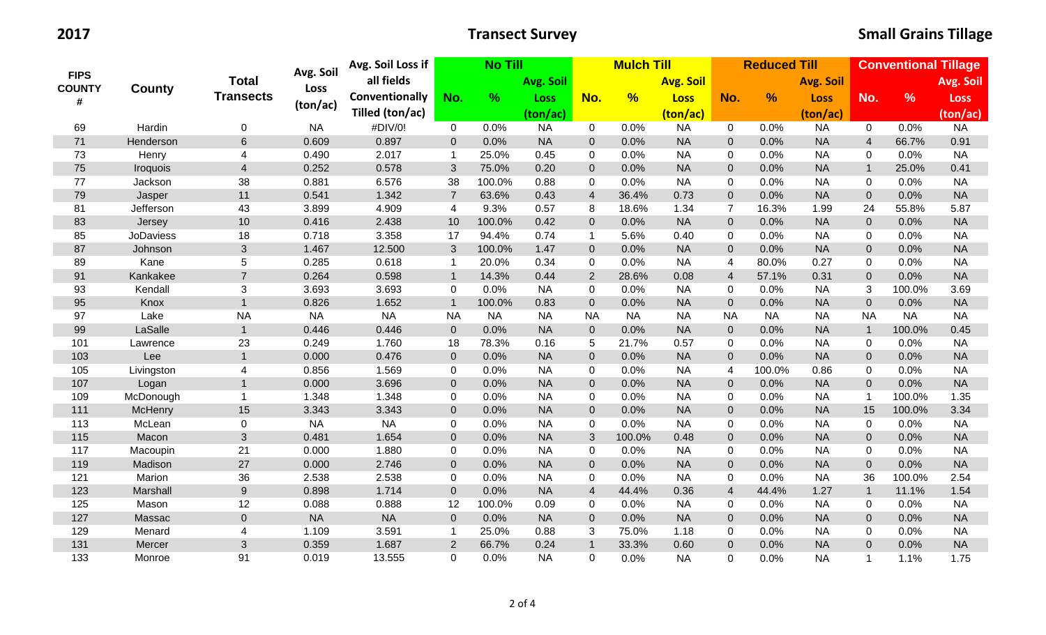| <b>FIPS</b><br><b>COUNTY</b><br># |                  | <b>Total</b>     | Avg. Soil | Avg. Soil Loss if | <b>No Till</b> |           | <b>Mulch Till</b> |                |               |                  | <b>Reduced Till</b>      |               | <b>Conventional Tillage</b> |                |               |             |
|-----------------------------------|------------------|------------------|-----------|-------------------|----------------|-----------|-------------------|----------------|---------------|------------------|--------------------------|---------------|-----------------------------|----------------|---------------|-------------|
|                                   |                  |                  |           | all fields        |                |           | Avg. Soil         |                |               | <b>Avg. Soil</b> |                          |               | <b>Avg. Soil</b>            |                |               | Avg. Soil   |
|                                   | County           | <b>Transects</b> | Loss      | Conventionally    | No.            | %         | <b>Loss</b>       | No.            | $\frac{9}{6}$ | <b>Loss</b>      | No.                      | $\frac{9}{6}$ | <b>Loss</b>                 | No.            | $\frac{9}{6}$ | <b>Loss</b> |
|                                   |                  |                  | (ton/ac)  | Tilled (ton/ac)   |                |           | (ton/ac)          |                |               | (ton/ac)         |                          |               | (ton/ac)                    |                |               | (ton/ac)    |
| 69                                | Hardin           | 0                | <b>NA</b> | #DIV/0!           | $\mathbf 0$    | 0.0%      | <b>NA</b>         | $\mathbf 0$    | 0.0%          | <b>NA</b>        | $\mathbf 0$              | 0.0%          | <b>NA</b>                   | $\overline{0}$ | 0.0%          | <b>NA</b>   |
| 71                                | Henderson        | 6                | 0.609     | 0.897             | $\overline{0}$ | 0.0%      | <b>NA</b>         | $\overline{0}$ | 0.0%          | <b>NA</b>        | $\mathbf 0$              | 0.0%          | <b>NA</b>                   | $\overline{4}$ | 66.7%         | 0.91        |
| 73                                | Henry            | $\overline{4}$   | 0.490     | 2.017             | $\mathbf{1}$   | 25.0%     | 0.45              | $\mathbf 0$    | 0.0%          | <b>NA</b>        | $\mathbf 0$              | 0.0%          | <b>NA</b>                   | 0              | 0.0%          | <b>NA</b>   |
| 75                                | Iroquois         | $\overline{4}$   | 0.252     | 0.578             | 3              | 75.0%     | 0.20              | $\overline{0}$ | 0.0%          | <b>NA</b>        | $\mathbf 0$              | 0.0%          | <b>NA</b>                   | $\mathbf{1}$   | 25.0%         | 0.41        |
| 77                                | Jackson          | 38               | 0.881     | 6.576             | 38             | 100.0%    | 0.88              | $\mathbf 0$    | 0.0%          | <b>NA</b>        | $\mathbf 0$              | 0.0%          | <b>NA</b>                   | 0              | 0.0%          | <b>NA</b>   |
| 79                                | Jasper           | 11               | 0.541     | 1.342             | $\overline{7}$ | 63.6%     | 0.43              | $\overline{4}$ | 36.4%         | 0.73             | $\mathbf 0$              | 0.0%          | <b>NA</b>                   | $\Omega$       | 0.0%          | <b>NA</b>   |
| 81                                | Jefferson        | 43               | 3.899     | 4.909             | 4              | 9.3%      | 0.57              | 8              | 18.6%         | 1.34             | $\overline{7}$           | 16.3%         | 1.99                        | 24             | 55.8%         | 5.87        |
| 83                                | Jersey           | 10               | 0.416     | 2.438             | 10             | 100.0%    | 0.42              | $\mathbf 0$    | 0.0%          | <b>NA</b>        | $\mathbf 0$              | 0.0%          | <b>NA</b>                   | $\mathbf{0}$   | 0.0%          | <b>NA</b>   |
| 85                                | <b>JoDaviess</b> | 18               | 0.718     | 3.358             | 17             | 94.4%     | 0.74              | $\mathbf{1}$   | 5.6%          | 0.40             | $\mathbf 0$              | 0.0%          | <b>NA</b>                   | 0              | 0.0%          | <b>NA</b>   |
| 87                                | Johnson          | 3                | 1.467     | 12.500            | 3              | 100.0%    | 1.47              | $\mathbf 0$    | 0.0%          | <b>NA</b>        | $\boldsymbol{0}$         | 0.0%          | <b>NA</b>                   | $\mathbf 0$    | 0.0%          | <b>NA</b>   |
| 89                                | Kane             | $\overline{5}$   | 0.285     | 0.618             | $\mathbf{1}$   | 20.0%     | 0.34              | $\mathbf 0$    | 0.0%          | <b>NA</b>        | $\overline{\mathcal{A}}$ | 80.0%         | 0.27                        | $\Omega$       | 0.0%          | <b>NA</b>   |
| 91                                | Kankakee         | $\overline{7}$   | 0.264     | 0.598             | $\mathbf{1}$   | 14.3%     | 0.44              | $\overline{2}$ | 28.6%         | 0.08             | $\overline{4}$           | 57.1%         | 0.31                        | $\mathbf{0}$   | 0.0%          | <b>NA</b>   |
| 93                                | Kendall          | $\mathbf{3}$     | 3.693     | 3.693             | $\mathbf 0$    | 0.0%      | <b>NA</b>         | $\mathbf 0$    | 0.0%          | <b>NA</b>        | $\pmb{0}$                | 0.0%          | <b>NA</b>                   | 3              | 100.0%        | 3.69        |
| 95                                | Knox             | $\mathbf{1}$     | 0.826     | 1.652             | $\mathbf{1}$   | 100.0%    | 0.83              | $\mathbf 0$    | 0.0%          | <b>NA</b>        | $\pmb{0}$                | 0.0%          | <b>NA</b>                   | $\mathbf{0}$   | 0.0%          | <b>NA</b>   |
| 97                                | Lake             | <b>NA</b>        | <b>NA</b> | <b>NA</b>         | <b>NA</b>      | <b>NA</b> | <b>NA</b>         | <b>NA</b>      | <b>NA</b>     | <b>NA</b>        | <b>NA</b>                | <b>NA</b>     | <b>NA</b>                   | <b>NA</b>      | <b>NA</b>     | <b>NA</b>   |
| 99                                | LaSalle          | $\mathbf 1$      | 0.446     | 0.446             | $\mathbf 0$    | 0.0%      | <b>NA</b>         | $\overline{0}$ | 0.0%          | <b>NA</b>        | $\boldsymbol{0}$         | 0.0%          | <b>NA</b>                   | $\mathbf{1}$   | 100.0%        | 0.45        |
| 101                               | Lawrence         | 23               | 0.249     | 1.760             | 18             | 78.3%     | 0.16              | 5              | 21.7%         | 0.57             | $\mathbf 0$              | 0.0%          | <b>NA</b>                   | 0              | 0.0%          | <b>NA</b>   |
| 103                               | Lee              | $\mathbf{1}$     | 0.000     | 0.476             | $\overline{0}$ | 0.0%      | <b>NA</b>         | $\overline{0}$ | 0.0%          | <b>NA</b>        | $\mathbf 0$              | 0.0%          | <b>NA</b>                   | $\mathbf{0}$   | 0.0%          | <b>NA</b>   |
| 105                               | Livingston       | $\overline{4}$   | 0.856     | 1.569             | $\mathbf 0$    | 0.0%      | <b>NA</b>         | $\mathbf 0$    | 0.0%          | <b>NA</b>        | $\overline{4}$           | 100.0%        | 0.86                        | 0              | 0.0%          | <b>NA</b>   |
| 107                               | Logan            | $\mathbf 1$      | 0.000     | 3.696             | $\mathbf 0$    | 0.0%      | <b>NA</b>         | $\overline{0}$ | 0.0%          | <b>NA</b>        | $\boldsymbol{0}$         | 0.0%          | <b>NA</b>                   | $\overline{0}$ | 0.0%          | <b>NA</b>   |
| 109                               | McDonough        | $\mathbf 1$      | 1.348     | 1.348             | $\mathbf 0$    | 0.0%      | <b>NA</b>         | $\mathbf 0$    | 0.0%          | <b>NA</b>        | $\mathbf 0$              | 0.0%          | <b>NA</b>                   | $\mathbf{1}$   | 100.0%        | 1.35        |
| 111                               | McHenry          | 15               | 3.343     | 3.343             | $\mathbf 0$    | 0.0%      | <b>NA</b>         | $\mathbf{0}$   | 0.0%          | <b>NA</b>        | $\boldsymbol{0}$         | 0.0%          | <b>NA</b>                   | 15             | 100.0%        | 3.34        |
| 113                               | McLean           | $\pmb{0}$        | <b>NA</b> | <b>NA</b>         | 0              | 0.0%      | <b>NA</b>         | $\mathbf 0$    | 0.0%          | <b>NA</b>        | $\pmb{0}$                | 0.0%          | <b>NA</b>                   | $\mathbf 0$    | 0.0%          | <b>NA</b>   |
| 115                               | Macon            | 3                | 0.481     | 1.654             | $\mathbf 0$    | 0.0%      | <b>NA</b>         | 3              | 100.0%        | 0.48             | $\boldsymbol{0}$         | 0.0%          | <b>NA</b>                   | $\mathbf{0}$   | 0.0%          | <b>NA</b>   |
| 117                               | Macoupin         | 21               | 0.000     | 1.880             | $\mathsf 0$    | 0.0%      | <b>NA</b>         | $\mathbf 0$    | 0.0%          | <b>NA</b>        | $\mathbf 0$              | 0.0%          | <b>NA</b>                   | 0              | 0.0%          | <b>NA</b>   |
| 119                               | Madison          | 27               | 0.000     | 2.746             | $\mathbf 0$    | 0.0%      | <b>NA</b>         | $\mathbf 0$    | 0.0%          | <b>NA</b>        | $\pmb{0}$                | 0.0%          | <b>NA</b>                   | $\pmb{0}$      | 0.0%          | <b>NA</b>   |
| 121                               | Marion           | 36               | 2.538     | 2.538             | $\pmb{0}$      | 0.0%      | <b>NA</b>         | $\mathbf 0$    | 0.0%          | <b>NA</b>        | $\mathbf 0$              | 0.0%          | <b>NA</b>                   | 36             | 100.0%        | 2.54        |
| 123                               | Marshall         | $\boldsymbol{9}$ | 0.898     | 1.714             | $\overline{0}$ | 0.0%      | <b>NA</b>         | $\overline{4}$ | 44.4%         | 0.36             | $\overline{\mathbf{4}}$  | 44.4%         | 1.27                        | $\mathbf{1}$   | 11.1%         | 1.54        |
| 125                               | Mason            | 12               | 0.088     | 0.888             | 12             | 100.0%    | 0.09              | $\mathbf 0$    | 0.0%          | <b>NA</b>        | $\mathbf 0$              | 0.0%          | <b>NA</b>                   | 0              | 0.0%          | <b>NA</b>   |
| 127                               | Massac           | $\overline{0}$   | <b>NA</b> | <b>NA</b>         | $\overline{0}$ | 0.0%      | <b>NA</b>         | $\overline{0}$ | 0.0%          | <b>NA</b>        | $\mathbf 0$              | 0.0%          | <b>NA</b>                   | $\mathbf{0}$   | 0.0%          | <b>NA</b>   |
| 129                               | Menard           | 4                | 1.109     | 3.591             | $\mathbf{1}$   | 25.0%     | 0.88              | 3              | 75.0%         | 1.18             | $\mathbf 0$              | 0.0%          | <b>NA</b>                   | 0              | 0.0%          | <b>NA</b>   |
| 131                               | Mercer           | 3                | 0.359     | 1.687             | 2              | 66.7%     | 0.24              | $\overline{1}$ | 33.3%         | 0.60             | $\pmb{0}$                | 0.0%          | <b>NA</b>                   | $\overline{0}$ | 0.0%          | <b>NA</b>   |
| 133                               | Monroe           | 91               | 0.019     | 13.555            | $\Omega$       | 0.0%      | <b>NA</b>         | $\mathbf 0$    | 0.0%          | <b>NA</b>        | 0                        | 0.0%          | <b>NA</b>                   | $\mathbf 1$    | 1.1%          | 1.75        |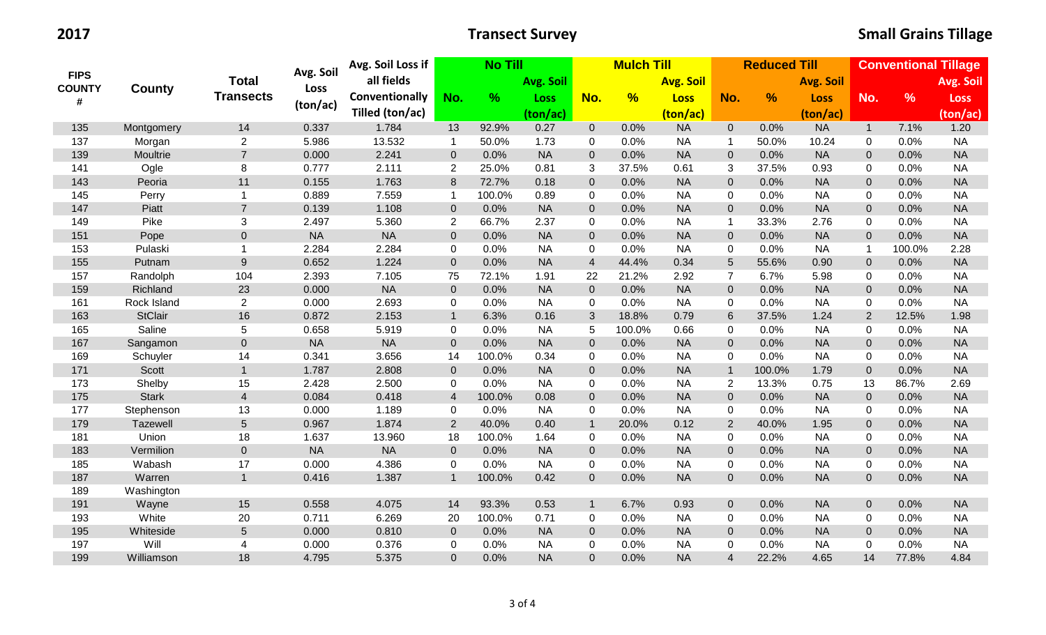| <b>FIPS</b><br><b>COUNTY</b><br># |                | <b>Total</b>        | Avg. Soil | Avg. Soil Loss if<br><b>No Till</b> |                  |        |             | <b>Mulch Till</b> |               |                  |                  | <b>Reduced Till</b> |                  | <b>Conventional Tillage</b> |               |             |  |
|-----------------------------------|----------------|---------------------|-----------|-------------------------------------|------------------|--------|-------------|-------------------|---------------|------------------|------------------|---------------------|------------------|-----------------------------|---------------|-------------|--|
|                                   |                |                     |           | all fields                          |                  |        | Avg. Soil   |                   |               | <b>Avg. Soil</b> | No.              |                     | <b>Avg. Soil</b> |                             |               | Avg. Soil   |  |
|                                   | County         | <b>Transects</b>    | Loss      | <b>Conventionally</b>               | No.              | %      | <b>Loss</b> | No.               | $\frac{9}{6}$ | <b>Loss</b>      |                  | $\frac{9}{6}$       | <b>Loss</b>      | No.                         | $\frac{9}{6}$ | <b>Loss</b> |  |
|                                   |                |                     | (ton/ac)  | Tilled (ton/ac)                     |                  |        | (ton/ac)    |                   |               | (ton/ac)         |                  |                     | (ton/ac)         |                             |               | (ton/ac)    |  |
| 135                               | Montgomery     | 14                  | 0.337     | 1.784                               | 13               | 92.9%  | 0.27        | $\overline{0}$    | 0.0%          | <b>NA</b>        | $\overline{0}$   | 0.0%                | <b>NA</b>        | $\overline{1}$              | 7.1%          | 1.20        |  |
| 137                               | Morgan         | $\overline{2}$      | 5.986     | 13.532                              | $\mathbf 1$      | 50.0%  | 1.73        | $\mathbf 0$       | 0.0%          | <b>NA</b>        | $\mathbf{1}$     | 50.0%               | 10.24            | $\mathbf 0$                 | 0.0%          | <b>NA</b>   |  |
| 139                               | Moultrie       | $\overline{7}$      | 0.000     | 2.241                               | $\mathbf{0}$     | 0.0%   | <b>NA</b>   | $\overline{0}$    | 0.0%          | <b>NA</b>        | $\mathbf 0$      | 0.0%                | <b>NA</b>        | $\Omega$                    | 0.0%          | <b>NA</b>   |  |
| 141                               | Ogle           | 8                   | 0.777     | 2.111                               | $\overline{2}$   | 25.0%  | 0.81        | $\mathbf{3}$      | 37.5%         | 0.61             | 3                | 37.5%               | 0.93             | 0                           | 0.0%          | <b>NA</b>   |  |
| 143                               | Peoria         | 11                  | 0.155     | 1.763                               | 8                | 72.7%  | 0.18        | $\mathbf{0}$      | 0.0%          | <b>NA</b>        | $\mathbf 0$      | 0.0%                | <b>NA</b>        | $\overline{0}$              | 0.0%          | <b>NA</b>   |  |
| 145                               | Perry          | $\mathbf{1}$        | 0.889     | 7.559                               | $\mathbf 1$      | 100.0% | 0.89        | $\mathbf 0$       | 0.0%          | <b>NA</b>        | $\mathbf 0$      | 0.0%                | <b>NA</b>        | 0                           | 0.0%          | <b>NA</b>   |  |
| 147                               | Piatt          | $\overline{7}$      | 0.139     | 1.108                               | $\mathbf 0$      | 0.0%   | <b>NA</b>   | $\overline{0}$    | 0.0%          | <b>NA</b>        | $\mathbf 0$      | 0.0%                | <b>NA</b>        | $\mathbf 0$                 | 0.0%          | <b>NA</b>   |  |
| 149                               | Pike           | 3                   | 2.497     | 5.360                               | $\overline{2}$   | 66.7%  | 2.37        | $\mathbf 0$       | 0.0%          | <b>NA</b>        | $\mathbf{1}$     | 33.3%               | 2.76             | 0                           | 0.0%          | <b>NA</b>   |  |
| 151                               | Pope           | $\mathbf 0$         | <b>NA</b> | <b>NA</b>                           | $\mathbf 0$      | 0.0%   | <b>NA</b>   | $\mathbf{0}$      | 0.0%          | <b>NA</b>        | $\mathbf 0$      | 0.0%                | <b>NA</b>        | $\mathbf{0}$                | 0.0%          | <b>NA</b>   |  |
| 153                               | Pulaski        | $\mathbf{1}$        | 2.284     | 2.284                               | $\mathbf 0$      | 0.0%   | <b>NA</b>   | $\mathbf 0$       | 0.0%          | <b>NA</b>        | $\pmb{0}$        | 0.0%                | <b>NA</b>        | $\overline{1}$              | 100.0%        | 2.28        |  |
| 155                               | Putnam         | $\overline{9}$      | 0.652     | 1.224                               | $\mathbf 0$      | 0.0%   | <b>NA</b>   | $\overline{4}$    | 44.4%         | 0.34             | $5\phantom{.}$   | 55.6%               | 0.90             | $\overline{0}$              | 0.0%          | <b>NA</b>   |  |
| 157                               | Randolph       | 104                 | 2.393     | 7.105                               | 75               | 72.1%  | 1.91        | 22                | 21.2%         | 2.92             | $\overline{7}$   | 6.7%                | 5.98             | 0                           | 0.0%          | <b>NA</b>   |  |
| 159                               | Richland       | 23                  | 0.000     | <b>NA</b>                           | $\boldsymbol{0}$ | 0.0%   | <b>NA</b>   | $\mathbf{0}$      | 0.0%          | <b>NA</b>        | $\boldsymbol{0}$ | 0.0%                | <b>NA</b>        | $\mathbf 0$                 | 0.0%          | <b>NA</b>   |  |
| 161                               | Rock Island    | $\overline{2}$      | 0.000     | 2.693                               | 0                | 0.0%   | <b>NA</b>   | $\mathbf 0$       | 0.0%          | <b>NA</b>        | $\pmb{0}$        | 0.0%                | <b>NA</b>        | $\mathbf 0$                 | 0.0%          | <b>NA</b>   |  |
| 163                               | <b>StClair</b> | 16                  | 0.872     | 2.153                               | $\mathbf{1}$     | 6.3%   | 0.16        | 3                 | 18.8%         | 0.79             | $\,$ 6 $\,$      | 37.5%               | 1.24             | 2                           | 12.5%         | 1.98        |  |
| 165                               | Saline         | 5                   | 0.658     | 5.919                               | $\mathbf 0$      | 0.0%   | <b>NA</b>   | 5                 | 100.0%        | 0.66             | $\mathbf 0$      | 0.0%                | <b>NA</b>        | $\mathbf 0$                 | 0.0%          | <b>NA</b>   |  |
| 167                               | Sangamon       | $\mathsf{O}\xspace$ | $\sf NA$  | <b>NA</b>                           | $\overline{0}$   | 0.0%   | <b>NA</b>   | $\overline{0}$    | 0.0%          | <b>NA</b>        | $\boldsymbol{0}$ | 0.0%                | <b>NA</b>        | $\mathbf 0$                 | 0.0%          | <b>NA</b>   |  |
| 169                               | Schuyler       | 14                  | 0.341     | 3.656                               | 14               | 100.0% | 0.34        | $\mathbf 0$       | 0.0%          | <b>NA</b>        | $\mathbf 0$      | 0.0%                | <b>NA</b>        | 0                           | 0.0%          | <b>NA</b>   |  |
| 171                               | Scott          | $\mathbf{1}$        | 1.787     | 2.808                               | $\boldsymbol{0}$ | 0.0%   | <b>NA</b>   | $\overline{0}$    | 0.0%          | <b>NA</b>        | $\mathbf{1}$     | 100.0%              | 1.79             | $\mathbf 0$                 | 0.0%          | <b>NA</b>   |  |
| 173                               | Shelby         | 15                  | 2.428     | 2.500                               | $\mathbf 0$      | 0.0%   | <b>NA</b>   | $\mathbf 0$       | 0.0%          | <b>NA</b>        | $\overline{2}$   | 13.3%               | 0.75             | 13                          | 86.7%         | 2.69        |  |
| 175                               | <b>Stark</b>   | $\overline{4}$      | 0.084     | 0.418                               | $\overline{4}$   | 100.0% | 0.08        | $\mathbf{0}$      | 0.0%          | <b>NA</b>        | $\boldsymbol{0}$ | 0.0%                | <b>NA</b>        | $\overline{0}$              | 0.0%          | <b>NA</b>   |  |
| 177                               | Stephenson     | 13                  | 0.000     | 1.189                               | $\mathbf 0$      | 0.0%   | <b>NA</b>   | $\mathbf 0$       | 0.0%          | <b>NA</b>        | $\mathbf 0$      | 0.0%                | <b>NA</b>        | 0                           | 0.0%          | <b>NA</b>   |  |
| 179                               | Tazewell       | 5                   | 0.967     | 1.874                               | $\overline{2}$   | 40.0%  | 0.40        | $\mathbf{1}$      | 20.0%         | 0.12             | $\overline{2}$   | 40.0%               | 1.95             | $\mathbf{0}$                | 0.0%          | <b>NA</b>   |  |
| 181                               | Union          | 18                  | 1.637     | 13.960                              | 18               | 100.0% | 1.64        | $\mathbf 0$       | 0.0%          | <b>NA</b>        | $\mathbf 0$      | 0.0%                | <b>NA</b>        | $\mathbf 0$                 | 0.0%          | <b>NA</b>   |  |
| 183                               | Vermilion      | $\mathbf 0$         | <b>NA</b> | <b>NA</b>                           | $\boldsymbol{0}$ | 0.0%   | <b>NA</b>   | $\mathbf{0}$      | 0.0%          | <b>NA</b>        | $\mathbf 0$      | 0.0%                | <b>NA</b>        | $\mathbf 0$                 | 0.0%          | <b>NA</b>   |  |
| 185                               | Wabash         | 17                  | 0.000     | 4.386                               | 0                | 0.0%   | <b>NA</b>   | $\mathbf 0$       | 0.0%          | <b>NA</b>        | $\mathbf 0$      | 0.0%                | <b>NA</b>        | $\mathbf 0$                 | 0.0%          | <b>NA</b>   |  |
| 187                               | Warren         | $\mathbf{1}$        | 0.416     | 1.387                               | $\mathbf{1}$     | 100.0% | 0.42        | $\overline{0}$    | 0.0%          | <b>NA</b>        | $\mathbf 0$      | 0.0%                | <b>NA</b>        | $\overline{0}$              | 0.0%          | <b>NA</b>   |  |
| 189                               | Washington     |                     |           |                                     |                  |        |             |                   |               |                  |                  |                     |                  |                             |               |             |  |
| 191                               | Wayne          | 15                  | 0.558     | 4.075                               | 14               | 93.3%  | 0.53        | $\mathbf{1}$      | 6.7%          | 0.93             | $\mathbf 0$      | 0.0%                | <b>NA</b>        | $\overline{0}$              | 0.0%          | <b>NA</b>   |  |
| 193                               | White          | 20                  | 0.711     | 6.269                               | 20               | 100.0% | 0.71        | $\mathbf 0$       | 0.0%          | <b>NA</b>        | 0                | 0.0%                | <b>NA</b>        | $\mathbf 0$                 | 0.0%          | <b>NA</b>   |  |
| 195                               | Whiteside      | $5\phantom{.0}$     | 0.000     | 0.810                               | $\overline{0}$   | 0.0%   | <b>NA</b>   | $\overline{0}$    | 0.0%          | <b>NA</b>        | $\mathbf 0$      | 0.0%                | <b>NA</b>        | $\mathbf{0}$                | 0.0%          | <b>NA</b>   |  |
| 197                               | Will           | $\overline{4}$      | 0.000     | 0.376                               | $\mathbf 0$      | 0.0%   | <b>NA</b>   | $\mathbf 0$       | 0.0%          | <b>NA</b>        | $\mathbf 0$      | 0.0%                | <b>NA</b>        | $\mathbf 0$                 | 0.0%          | <b>NA</b>   |  |
| 199                               | Williamson     | 18                  | 4.795     | 5.375                               | $\overline{0}$   | 0.0%   | <b>NA</b>   | $\overline{0}$    | 0.0%          | <b>NA</b>        | $\overline{4}$   | 22.2%               | 4.65             | 14                          | 77.8%         | 4.84        |  |